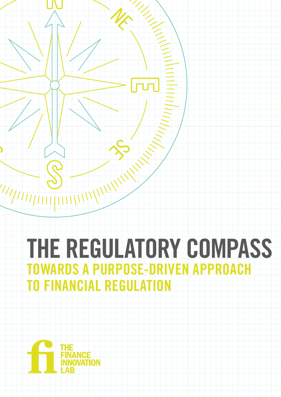# THE REGULATORY COMPASS TOWARDS A PURPOSE-DRIVEN APPROACH TO FINANCIAL REGULATION

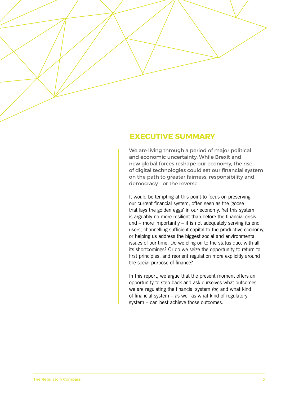## **EXECUTIVE SUMMARY**

We are living through a period of major political and economic uncertainty. While Brexit and new global forces reshape our economy, the rise of digital technologies could set our financial system on the path to greater fairness, responsibility and democracy – or the reverse.

It would be tempting at this point to focus on preserving our current financial system, often seen as the 'goose that lays the golden eggs' in our economy. Yet this system is arguably no more resilient than before the financial crisis, and – more importantly – it is not adequately serving its end users, channelling sufficient capital to the productive economy, or helping us address the biggest social and environmental issues of our time. Do we cling on to the status quo, with all its shortcomings? Or do we seize the opportunity to return to first principles, and reorient regulation more explicitly around the social purpose of finance?

In this report, we argue that the present moment offers an opportunity to step back and ask ourselves what outcomes we are regulating the financial system *for*, and what kind of financial system – as well as what kind of regulatory system – can best achieve those outcomes.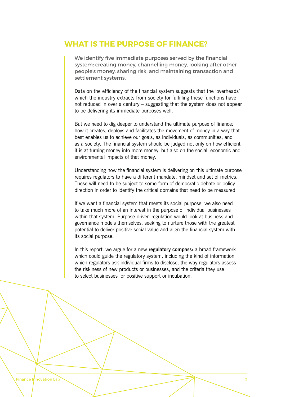## **WHAT IS THE PURPOSE OF FINANCE?**

We identify five immediate purposes served by the financial system: creating money, channelling money, looking after other people's money, sharing risk, and maintaining transaction and settlement systems.

Data on the efficiency of the financial system suggests that the 'overheads' which the industry extracts from society for fulfilling these functions have not reduced in over a century – suggesting that the system does not appear to be delivering its immediate purposes well.

But we need to dig deeper to understand the ultimate purpose of finance: how it creates, deploys and facilitates the movement of money in a way that best enables us to achieve our goals, as individuals, as communities, and as a society. The financial system should be judged not only on how efficient it is at turning money into more money, but also on the social, economic and environmental impacts of that money.

Understanding how the financial system is delivering on this ultimate purpose requires regulators to have a different mandate, mindset and set of metrics. These will need to be subject to some form of democratic debate or policy direction in order to identify the critical domains that need to be measured.

If we want a financial system that meets its social purpose, we also need to take much more of an interest in the purpose of individual businesses within that system. Purpose-driven regulation would look at business and governance models themselves, seeking to nurture those with the greatest potential to deliver positive social value and align the financial system with its social purpose.

In this report, we argue for a new **regulatory compass:** a broad framework which could guide the regulatory system, including the kind of information which regulators ask individual firms to disclose, the way regulators assess the riskiness of new products or businesses, and the criteria they use to select businesses for positive support or incubation.

Finance Innovation Lab 3 3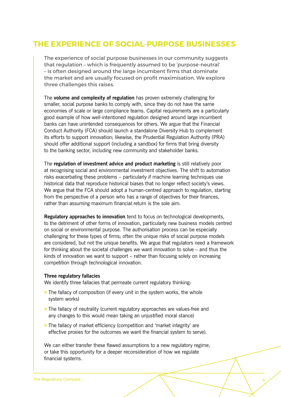# **THE EXPERIENCE OF SOCIAL-PURPOSE BUSINESSES**

The experience of social purpose businesses in our community suggests that regulation – which is frequently assumed to be 'purpose-neutral' – is often designed around the large incumbent firms that dominate the market and are usually focused on profit maximisation. We explore three challenges this raises.

The **volume and complexity of regulation** has proven extremely challenging for smaller, social purpose banks to comply with, since they do not have the same economies of scale or large compliance teams. Capital requirements are a particularly good example of how well-intentioned regulation designed around large incumbent banks can have unintended consequences for others. We argue that the Financial Conduct Authority (FCA) should launch a standalone Diversity Hub to complement its efforts to support innovation; likewise, the Prudential Regulation Authority (PRA) should offer additional support (including a sandbox) for firms that bring diversity to the banking sector, including new community and stakeholder banks.

The **regulation of investment advice and product marketing** is still relatively poor at recognising social and environmental investment objectives. The shift to automation risks exacerbating these problems – particularly if machine learning techniques use historical data that reproduce historical biases that no longer reflect society's views. We argue that the FCA should adopt a human-centred approach to regulation, starting from the perspective of a person who has a range of objectives for their finances, rather than assuming maximum financial return is the sole aim.

**Regulatory approaches to innovation** tend to focus on technological developments, to the detriment of other forms of innovation, particularly new business models centred on social or environmental purpose. The authorisation process can be especially challenging for these types of firms; often the unique risks of social purpose models are considered, but not the unique benefits. We argue that regulators need a framework for thinking about the societal challenges we want innovation to solve – and thus the kinds of innovation we want to support – rather than focusing solely on increasing competition through technological innovation.

#### **Three regulatory fallacies**

We identify three fallacies that permeate current regulatory thinking:

- > The fallacy of composition (if every unit in the system works, the whole system works)
- > The fallacy of neutrality (current regulatory approaches are values-free and any changes to this would mean taking an unjustified moral stance)
- > The fallacy of market efficiency (competition and 'market integrity' are effective proxies for the outcomes we want the financial system to serve).

We can either transfer these flawed assumptions to a new regulatory regime, or take this opportunity for a deeper reconsideration of how we regulate financial systems.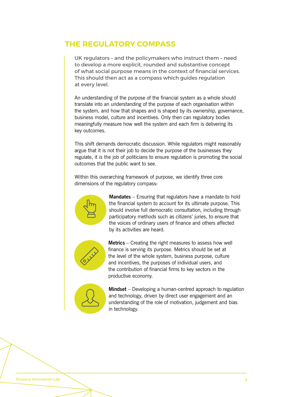# **THE REGULATORY COMPASS**

UK regulators – and the policymakers who instruct them – need to develop a more explicit, rounded and substantive concept of what social purpose means in the context of financial services. This should then act as a compass which guides regulation at every level.

An understanding of the purpose of the financial system as a whole should translate into an understanding of the purpose of each organisation within the system, and how that shapes and is shaped by its ownership, governance, business model, culture and incentives. Only then can regulatory bodies meaningfully measure how well the system and each firm is delivering its key outcomes.

This shift demands democratic discussion. While regulators might reasonably argue that it is not their job to decide the purpose of the businesses they regulate, it *is* the job of politicians to ensure regulation is promoting the social outcomes that the public want to see.

Within this overarching framework of purpose, we identify three core dimensions of the regulatory compass:



**Mandates** – Ensuring that regulators have a mandate to hold the financial system to account for its ultimate purpose. This should involve full democratic consultation, including through participatory methods such as citizens' juries, to ensure that the voices of ordinary users of finance and others affected by its activities are heard.



**Metrics** – Creating the right measures to assess how well finance is serving its purpose. Metrics should be set at the level of the whole system, business purpose, culture and incentives, the purposes of individual users, and the contribution of financial firms to key sectors in the productive economy.



**Mindset** – Developing a human-centred approach to regulation and technology, driven by direct user engagement and an understanding of the role of motivation, judgement and bias in technology.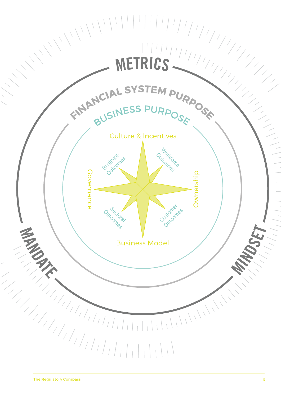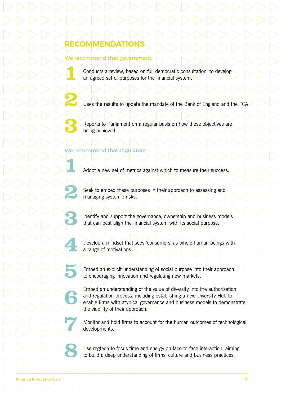### We recommend that government:

**RECOMMENDATIONS**

Conducts a review, based on full democratic consultation, to develop an agreed set of purposes for the financial system.

Uses the results to update the mandate of the Bank of England and the FCA.

Reports to Parliament on a regular basis on how these objectives are being achieved.

## We recommend that regulators:

Adopt a new set of metrics against which to measure their success.

Seek to embed these purposes in their approach to assessing and managing systemic risks.

Identify and support the governance, ownership and business models that can best align the financial system with its social purpose.

Develop a mindset that sees 'consumers' as whole human beings with a range of motivations.

Embed an explicit understanding of social purpose into their approach to encouraging innovation and regulating new markets.

Embed an understanding of the value of diversity into the authorisation and regulation process, including establishing a new Diversity Hub to enable firms with atypical governance and business models to demonstrate the viability of their approach.

Monitor and hold firms to account for the human outcomes of technological developments.

Use regtech to focus time and energy on face-to-face interaction, aiming to build a deep understanding of firms' culture and business practices.